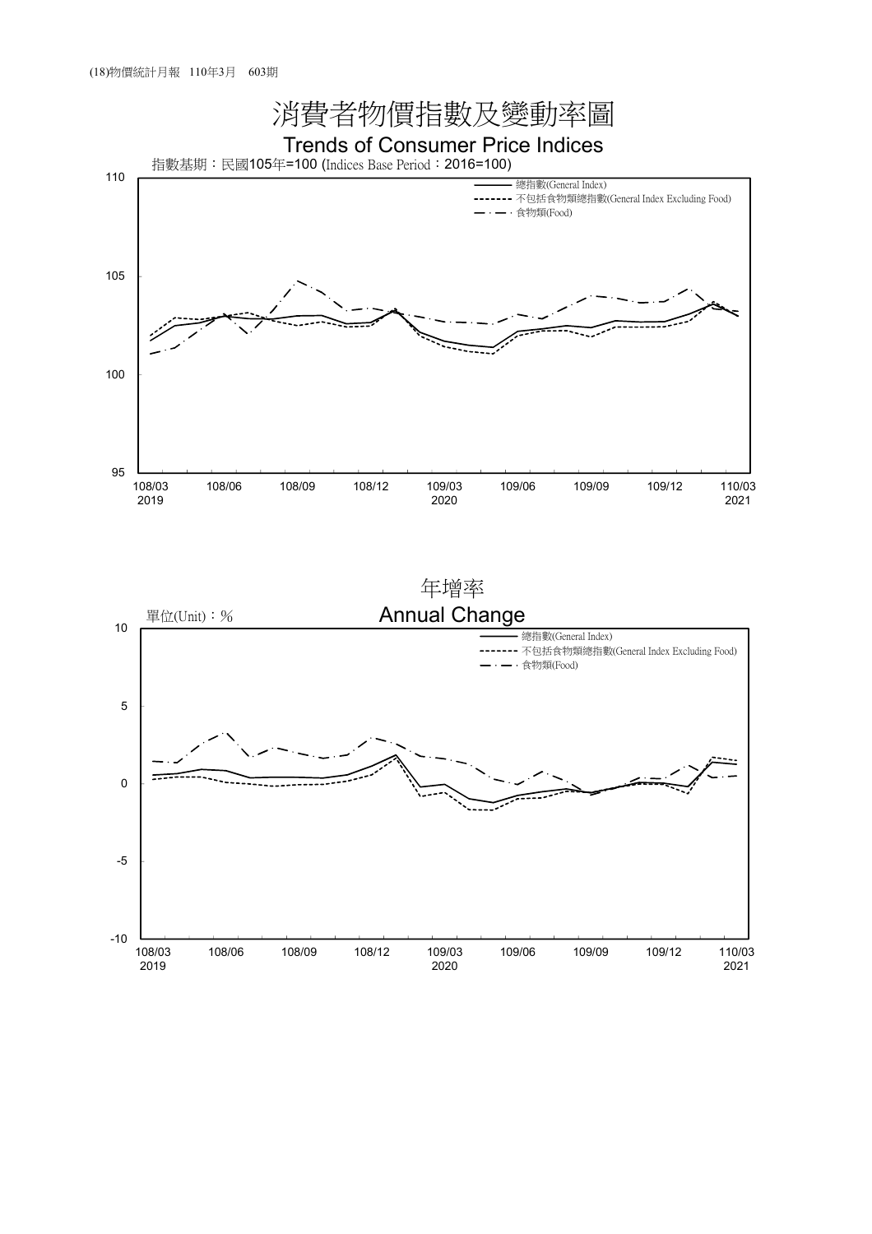

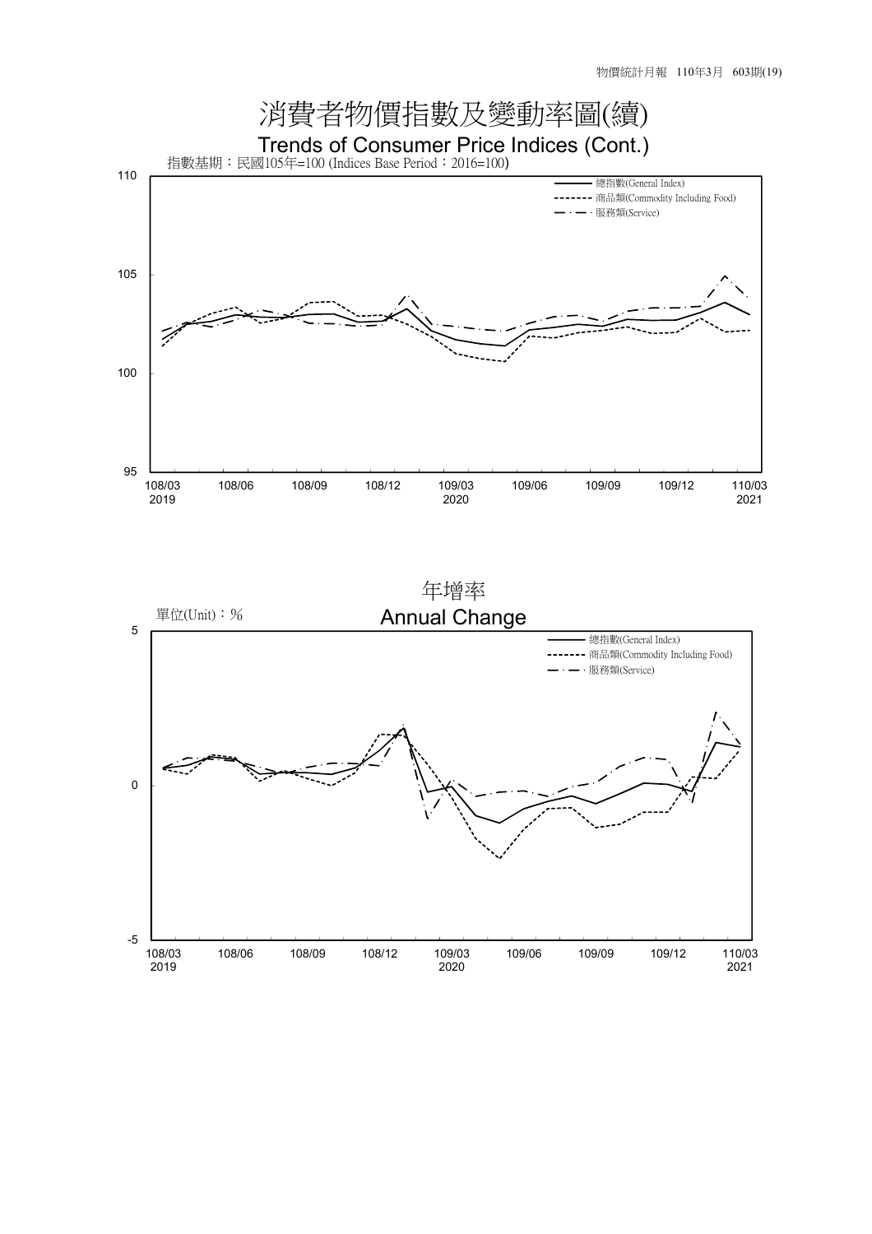